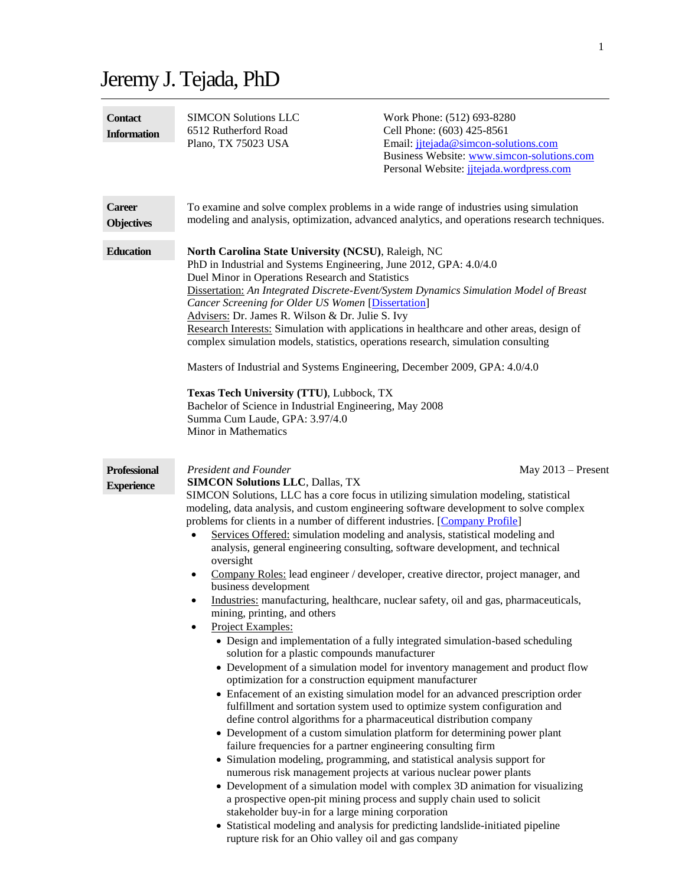# Jeremy J. Tejada, PhD

| <b>Contact</b><br><b>Information</b>     | <b>SIMCON Solutions LLC</b><br>6512 Rutherford Road<br>Plano, TX 75023 USA                                                                                                                                                                                                                                                                                                                                                                                                                                                                                                                                                                                                                                                                                                                                                                                                                                                                                                                                                                                                                                                                                                                                                                                                                                                                                                                                                                                                                                                                                                                                                                                                                                                                                                                                                                                                                                                                                                            | Work Phone: (512) 693-8280<br>Cell Phone: (603) 425-8561<br>Email: jitejada@simcon-solutions.com<br>Business Website: www.simcon-solutions.com<br>Personal Website: jitejada.wordpress.com |                      |
|------------------------------------------|---------------------------------------------------------------------------------------------------------------------------------------------------------------------------------------------------------------------------------------------------------------------------------------------------------------------------------------------------------------------------------------------------------------------------------------------------------------------------------------------------------------------------------------------------------------------------------------------------------------------------------------------------------------------------------------------------------------------------------------------------------------------------------------------------------------------------------------------------------------------------------------------------------------------------------------------------------------------------------------------------------------------------------------------------------------------------------------------------------------------------------------------------------------------------------------------------------------------------------------------------------------------------------------------------------------------------------------------------------------------------------------------------------------------------------------------------------------------------------------------------------------------------------------------------------------------------------------------------------------------------------------------------------------------------------------------------------------------------------------------------------------------------------------------------------------------------------------------------------------------------------------------------------------------------------------------------------------------------------------|--------------------------------------------------------------------------------------------------------------------------------------------------------------------------------------------|----------------------|
| <b>Career</b><br><b>Objectives</b>       | To examine and solve complex problems in a wide range of industries using simulation<br>modeling and analysis, optimization, advanced analytics, and operations research techniques.                                                                                                                                                                                                                                                                                                                                                                                                                                                                                                                                                                                                                                                                                                                                                                                                                                                                                                                                                                                                                                                                                                                                                                                                                                                                                                                                                                                                                                                                                                                                                                                                                                                                                                                                                                                                  |                                                                                                                                                                                            |                      |
| <b>Education</b>                         | North Carolina State University (NCSU), Raleigh, NC<br>PhD in Industrial and Systems Engineering, June 2012, GPA: 4.0/4.0<br>Duel Minor in Operations Research and Statistics<br>Dissertation: An Integrated Discrete-Event/System Dynamics Simulation Model of Breast<br>Cancer Screening for Older US Women [Dissertation]<br>Advisers: Dr. James R. Wilson & Dr. Julie S. Ivy<br>Research Interests: Simulation with applications in healthcare and other areas, design of<br>complex simulation models, statistics, operations research, simulation consulting<br>Masters of Industrial and Systems Engineering, December 2009, GPA: 4.0/4.0<br>Texas Tech University (TTU), Lubbock, TX<br>Bachelor of Science in Industrial Engineering, May 2008<br>Summa Cum Laude, GPA: 3.97/4.0<br>Minor in Mathematics                                                                                                                                                                                                                                                                                                                                                                                                                                                                                                                                                                                                                                                                                                                                                                                                                                                                                                                                                                                                                                                                                                                                                                     |                                                                                                                                                                                            |                      |
| <b>Professional</b><br><b>Experience</b> | President and Founder<br><b>SIMCON Solutions LLC, Dallas, TX</b><br>SIMCON Solutions, LLC has a core focus in utilizing simulation modeling, statistical<br>modeling, data analysis, and custom engineering software development to solve complex<br>problems for clients in a number of different industries. [Company Profile]<br>Services Offered: simulation modeling and analysis, statistical modeling and<br>$\bullet$<br>analysis, general engineering consulting, software development, and technical<br>oversight<br>Company Roles: lead engineer / developer, creative director, project manager, and<br>$\bullet$<br>business development<br>Industries: manufacturing, healthcare, nuclear safety, oil and gas, pharmaceuticals,<br>٠<br>mining, printing, and others<br>Project Examples:<br>• Design and implementation of a fully integrated simulation-based scheduling<br>solution for a plastic compounds manufacturer<br>• Development of a simulation model for inventory management and product flow<br>optimization for a construction equipment manufacturer<br>• Enfacement of an existing simulation model for an advanced prescription order<br>fulfillment and sortation system used to optimize system configuration and<br>define control algorithms for a pharmaceutical distribution company<br>• Development of a custom simulation platform for determining power plant<br>failure frequencies for a partner engineering consulting firm<br>• Simulation modeling, programming, and statistical analysis support for<br>numerous risk management projects at various nuclear power plants<br>• Development of a simulation model with complex 3D animation for visualizing<br>a prospective open-pit mining process and supply chain used to solicit<br>stakeholder buy-in for a large mining corporation<br>• Statistical modeling and analysis for predicting landslide-initiated pipeline<br>rupture risk for an Ohio valley oil and gas company |                                                                                                                                                                                            | May $2013$ – Present |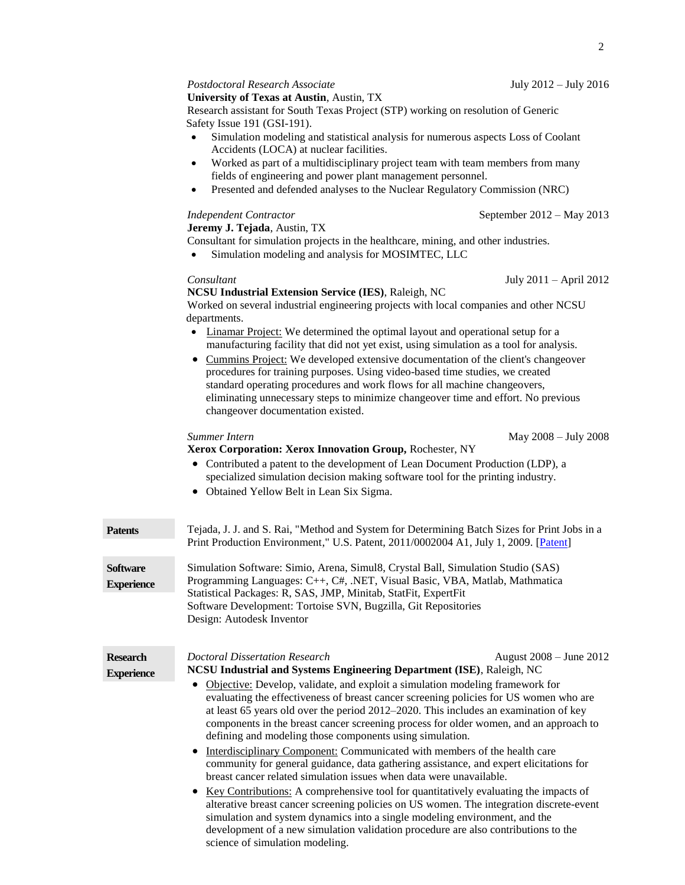# *Postdoctoral Research Associate* July 2012 – July 2016

# **University of Texas at Austin**, Austin, TX

Research assistant for South Texas Project (STP) working on resolution of Generic Safety Issue 191 (GSI-191).

- Simulation modeling and statistical analysis for numerous aspects Loss of Coolant Accidents (LOCA) at nuclear facilities.
- Worked as part of a multidisciplinary project team with team members from many fields of engineering and power plant management personnel.
- Presented and defended analyses to the Nuclear Regulatory Commission (NRC)

**Jeremy J. Tejada**, Austin, TX

Consultant for simulation projects in the healthcare, mining, and other industries.

Simulation modeling and analysis for MOSIMTEC, LLC

# *Consultant* July 2011 – April 2012

### **NCSU Industrial Extension Service (IES)**, Raleigh, NC

Worked on several industrial engineering projects with local companies and other NCSU departments.

- Linamar Project: We determined the optimal layout and operational setup for a manufacturing facility that did not yet exist, using simulation as a tool for analysis.
- Cummins Project: We developed extensive documentation of the client's changeover procedures for training purposes. Using video-based time studies, we created standard operating procedures and work flows for all machine changeovers, eliminating unnecessary steps to minimize changeover time and effort. No previous changeover documentation existed.

# *Summer Intern* May 2008 – July 2008

# **Xerox Corporation: Xerox Innovation Group,** Rochester, NY

- Contributed a patent to the development of Lean Document Production (LDP), a specialized simulation decision making software tool for the printing industry.
- Obtained Yellow Belt in Lean Six Sigma.

| <b>Patents</b>                       | Tejada, J. J. and S. Rai, "Method and System for Determining Batch Sizes for Print Jobs in a<br>Print Production Environment," U.S. Patent, 2011/0002004 A1, July 1, 2009. [Patent]                                                                                                                                                                                                                                                                                                                                                                                                                                                                                                                                                                                                                                                                                                                                      |  |
|--------------------------------------|--------------------------------------------------------------------------------------------------------------------------------------------------------------------------------------------------------------------------------------------------------------------------------------------------------------------------------------------------------------------------------------------------------------------------------------------------------------------------------------------------------------------------------------------------------------------------------------------------------------------------------------------------------------------------------------------------------------------------------------------------------------------------------------------------------------------------------------------------------------------------------------------------------------------------|--|
| <b>Software</b><br><b>Experience</b> | Simulation Software: Simio, Arena, Simul8, Crystal Ball, Simulation Studio (SAS)<br>Programming Languages: C++, C#, .NET, Visual Basic, VBA, Matlab, Mathmatica<br>Statistical Packages: R, SAS, JMP, Minitab, StatFit, ExpertFit<br>Software Development: Tortoise SVN, Bugzilla, Git Repositories<br>Design: Autodesk Inventor                                                                                                                                                                                                                                                                                                                                                                                                                                                                                                                                                                                         |  |
| <b>Research</b><br><b>Experience</b> | <b>Doctoral Dissertation Research</b><br>August 2008 – June 2012<br>NCSU Industrial and Systems Engineering Department (ISE), Raleigh, NC<br>Objective: Develop, validate, and exploit a simulation modeling framework for<br>$\bullet$<br>evaluating the effectiveness of breast cancer screening policies for US women who are<br>at least 65 years old over the period $2012-2020$ . This includes an examination of key<br>components in the breast cancer screening process for older women, and an approach to<br>defining and modeling those components using simulation.<br>Interdisciplinary Component: Communicated with members of the health care<br>community for general guidance, data gathering assistance, and expert elicitations for<br>breast cancer related simulation issues when data were unavailable.<br>• Key Contributions: A comprehensive tool for quantitatively evaluating the impacts of |  |
|                                      | alterative breast cancer screening policies on US women. The integration discrete-event<br>simulation and system dynamics into a single modeling environment, and the<br>development of a new simulation validation procedure are also contributions to the<br>science of simulation modeling.                                                                                                                                                                                                                                                                                                                                                                                                                                                                                                                                                                                                                           |  |

*Independent Contractor* September 2012 – May 2013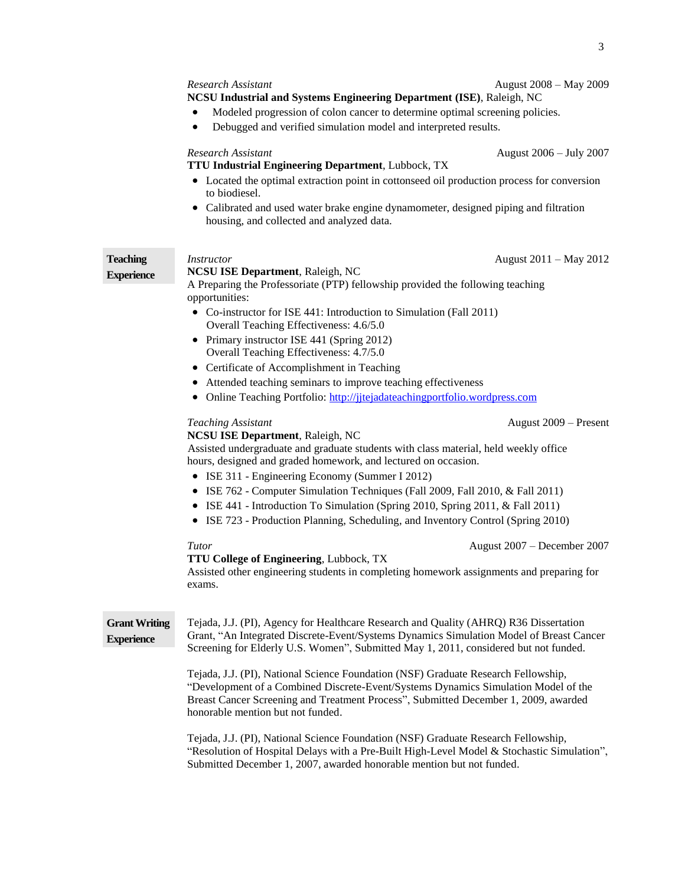#### *Research Assistant* August 2008 – May 2009

#### **NCSU Industrial and Systems Engineering Department (ISE)**, Raleigh, NC

- Modeled progression of colon cancer to determine optimal screening policies.
- Debugged and verified simulation model and interpreted results.

## *Research Assistant* August 2006 – July 2007

# **TTU Industrial Engineering Department**, Lubbock, TX

- Located the optimal extraction point in cottonseed oil production process for conversion to biodiesel.
- Calibrated and used water brake engine dynamometer, designed piping and filtration housing, and collected and analyzed data.

**Teaching Experience**

### *Instructor* August 2011 – May 2012 **NCSU ISE Department**, Raleigh, NC

A Preparing the Professoriate (PTP) fellowship provided the following teaching opportunities:

- Co-instructor for ISE 441: Introduction to Simulation (Fall 2011) Overall Teaching Effectiveness: 4.6/5.0
- Primary instructor ISE 441 (Spring 2012) Overall Teaching Effectiveness: 4.7/5.0
- Certificate of Accomplishment in Teaching
- Attended teaching seminars to improve teaching effectiveness
- Online Teaching Portfolio: [http://jjtejadateachingportfolio.wordpress.com](http://jjtejadateachingportfolio.wordpress.com/)

### **NCSU ISE Department**, Raleigh, NC

Assisted undergraduate and graduate students with class material, held weekly office hours, designed and graded homework, and lectured on occasion.

- ISE 311 Engineering Economy (Summer I 2012)
- ISE 762 Computer Simulation Techniques (Fall 2009, Fall 2010, & Fall 2011)
- $\bullet$  ISE 441 Introduction To Simulation (Spring 2010, Spring 2011, & Fall 2011)
- ISE 723 Production Planning, Scheduling, and Inventory Control (Spring 2010)

### *Tutor* August 2007 – December 2007

#### **TTU College of Engineering**, Lubbock, TX

Assisted other engineering students in completing homework assignments and preparing for exams.

**Grant Writing Experience** Tejada, J.J. (PI), Agency for Healthcare Research and Quality (AHRQ) R36 Dissertation Grant, "An Integrated Discrete-Event/Systems Dynamics Simulation Model of Breast Cancer Screening for Elderly U.S. Women", Submitted May 1, 2011, considered but not funded.

> Tejada, J.J. (PI), National Science Foundation (NSF) Graduate Research Fellowship, "Development of a Combined Discrete-Event/Systems Dynamics Simulation Model of the Breast Cancer Screening and Treatment Process", Submitted December 1, 2009, awarded honorable mention but not funded.

Tejada, J.J. (PI), National Science Foundation (NSF) Graduate Research Fellowship, "Resolution of Hospital Delays with a Pre-Built High-Level Model & Stochastic Simulation", Submitted December 1, 2007, awarded honorable mention but not funded.

*Teaching Assistant* August 2009 – Present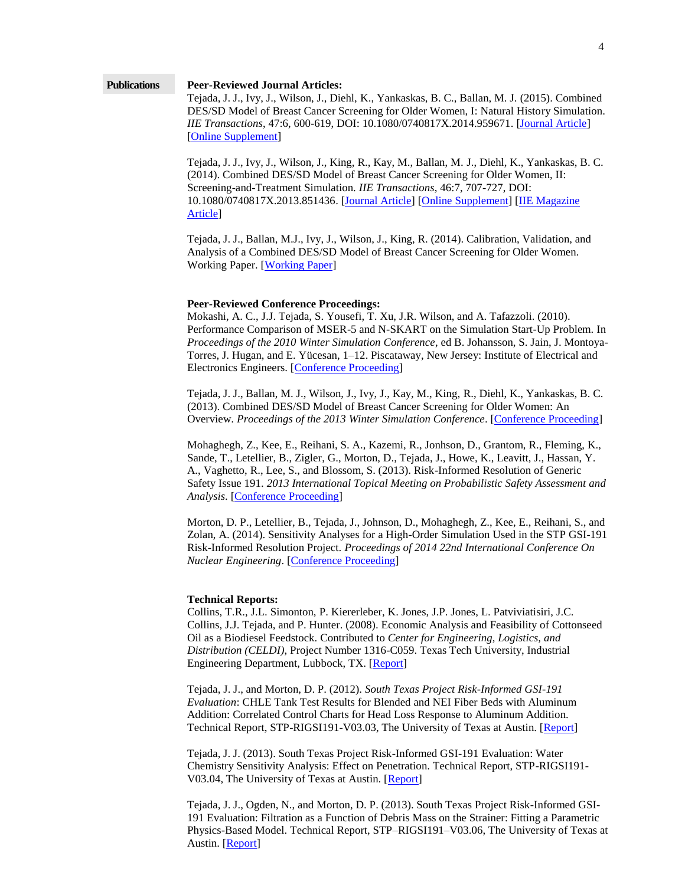#### **Publications Peer-Reviewed Journal Articles:**

Tejada, J. J., Ivy, J., Wilson, J., Diehl, K., Yankaskas, B. C., Ballan, M. J. (2015). Combined DES/SD Model of Breast Cancer Screening for Older Women, I: Natural History Simulation. *IIE Transactions*, 47:6, 600-619, DOI: 10.1080/0740817X.2014.959671. [\[Journal Article\]](https://jjtejada.files.wordpress.com/2015/11/tejada15iiet.pdf) [\[Online Supplement\]](http://jjtejada.files.wordpress.com/2012/10/paper-1-online-supplement-edits-1.pdf)

Tejada, J. J., Ivy, J., Wilson, J., King, R., Kay, M., Ballan, M. J., Diehl, K., Yankaskas, B. C. (2014). Combined DES/SD Model of Breast Cancer Screening for Older Women, II: Screening-and-Treatment Simulation. *IIE Transactions*, 46:7, 707-727, DOI: 10.1080/0740817X.2013.851436. [\[Journal Article\]](http://jjtejada.files.wordpress.com/2014/04/tejada14iietrans.pdf) [\[Online Supplement\]](http://jjtejada.files.wordpress.com/2013/02/paper-2-online-supplement-version-1-edited-by-jt-mb-2-3.pdf) [\[IIE Magazine](https://jjtejada.files.wordpress.com/2014/06/industrial-engineer-research-june-2014.pdf)  [Article\]](https://jjtejada.files.wordpress.com/2014/06/industrial-engineer-research-june-2014.pdf)

Tejada, J. J., Ballan, M.J., Ivy, J., Wilson, J., King, R. (2014). Calibration, Validation, and Analysis of a Combined DES/SD Model of Breast Cancer Screening for Older Women. Working Paper. [\[Working Paper\]](http://jjtejada.files.wordpress.com/2013/02/paper-3-version-1-mb-jt-2-5.pdf)

#### **Peer-Reviewed Conference Proceedings:**

Mokashi, A. C., J.J. Tejada, S. Yousefi, T. Xu, J.R. Wilson, and A. Tafazzoli. (2010). Performance Comparison of MSER-5 and N-SKART on the Simulation Start-Up Problem. In *Proceedings of the 2010 Winter Simulation Conference*, ed B. Johansson, S. Jain, J. Montoya-Torres, J. Hugan, and E. Yücesan, 1–12. Piscataway, New Jersey: Institute of Electrical and Electronics Engineers. [\[Conference Proceeding\]](http://jjtejada.files.wordpress.com/2011/11/performance-comparison-of-mser-5-and-n-skart-on-the-simulation-start-up-problem3.pdf)

Tejada, J. J., Ballan, M. J., Wilson, J., Ivy, J., Kay, M., King, R., Diehl, K., Yankaskas, B. C. (2013). Combined DES/SD Model of Breast Cancer Screening for Older Women: An Overview. *Proceedings of the 2013 Winter Simulation Conference*. [\[Conference Proceeding\]](http://jjtejada.files.wordpress.com/2013/04/tejada-wsc-4-123.pdf)

Mohaghegh, Z., Kee, E., Reihani, S. A., Kazemi, R., Jonhson, D., Grantom, R., Fleming, K., Sande, T., Letellier, B., Zigler, G., Morton, D., Tejada, J., Howe, K., Leavitt, J., Hassan, Y. A., Vaghetto, R., Lee, S., and Blossom, S. (2013). Risk-Informed Resolution of Generic Safety Issue 191. *2013 International Topical Meeting on Probabilistic Safety Assessment and Analysis*. [\[Conference Proceeding\]](http://jjtejada.files.wordpress.com/2013/06/risk-informed-resolution-of-generic-safety-issue-191-5-19-13.pdf)

Morton, D. P., Letellier, B., Tejada, J., Johnson, D., Mohaghegh, Z., Kee, E., Reihani, S., and Zolan, A. (2014). Sensitivity Analyses for a High-Order Simulation Used in the STP GSI-191 Risk-Informed Resolution Project. *Proceedings of 2014 22nd International Conference On Nuclear Engineering*. [\[Conference Proceeding\]](http://jjtejada.files.wordpress.com/2014/01/icone22-30917.pdf)

### **Technical Reports:**

Collins, T.R., J.L. Simonton, P. Kiererleber, K. Jones, J.P. Jones, L. Patviviatisiri, J.C. Collins, J.J. Tejada, and P. Hunter. (2008). Economic Analysis and Feasibility of Cottonseed Oil as a Biodiesel Feedstock. Contributed to *Center for Engineering, Logistics, and Distribution (CELDI)*, Project Number 1316-C059. Texas Tech University, Industrial Engineering Department, Lubbock, TX. [\[Report\]](http://jjtejada.files.wordpress.com/2011/11/economic-analysis-and-feasibility-of-cottonseed-oil-as-a-biodiesel-feedstock2.pdf)

Tejada, J. J., and Morton, D. P. (2012). *South Texas Project Risk-Informed GSI-191 Evaluation*: CHLE Tank Test Results for Blended and NEI Fiber Beds with Aluminum Addition: Correlated Control Charts for Head Loss Response to Aluminum Addition. Technical Report, STP-RIGSI191-V03.03, The University of Texas at Austin. [\[Report\]](http://jjtejada.files.wordpress.com/2014/01/03-chle-tank-test-results-for-blended-and-nei-fiber-beds-with-aluminum-addition.pdf)

Tejada, J. J. (2013). South Texas Project Risk-Informed GSI-191 Evaluation: Water Chemistry Sensitivity Analysis: Effect on Penetration. Technical Report, STP-RIGSI191- V03.04, The University of Texas at Austin. [\[Report\]](http://jjtejada.files.wordpress.com/2014/01/04-water-chemistry-sensitivity-analysis-effect-on-penetration.pdf)

Tejada, J. J., Ogden, N., and Morton, D. P. (2013). South Texas Project Risk-Informed GSI-191 Evaluation: Filtration as a Function of Debris Mass on the Strainer: Fitting a Parametric Physics-Based Model. Technical Report, STP–RIGSI191–V03.06, The University of Texas at Austin. [\[Report\]](http://jjtejada.files.wordpress.com/2014/01/06-filtration_fit_june_5_2013.pdf)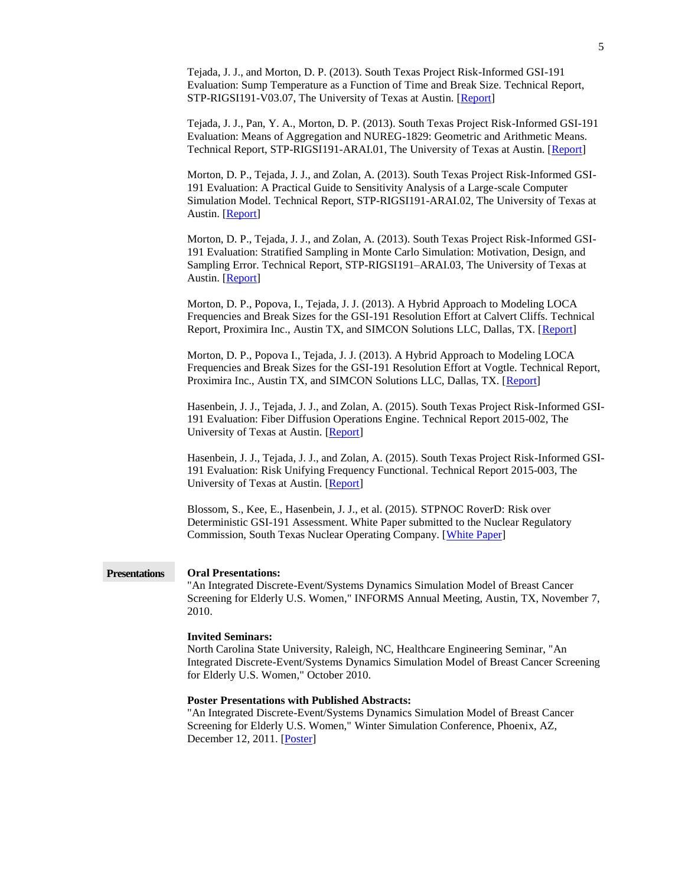|                      | Tejada, J. J., and Morton, D. P. (2013). South Texas Project Risk-Informed GSI-191<br>Evaluation: Sump Temperature as a Function of Time and Break Size. Technical Report,<br>STP-RIGSI191-V03.07, The University of Texas at Austin. [Report]                                                 |
|----------------------|------------------------------------------------------------------------------------------------------------------------------------------------------------------------------------------------------------------------------------------------------------------------------------------------|
|                      | Tejada, J. J., Pan, Y. A., Morton, D. P. (2013). South Texas Project Risk-Informed GSI-191<br>Evaluation: Means of Aggregation and NUREG-1829: Geometric and Arithmetic Means.<br>Technical Report, STP-RIGSI191-ARAI.01, The University of Texas at Austin. [Report]                          |
|                      | Morton, D. P., Tejada, J. J., and Zolan, A. (2013). South Texas Project Risk-Informed GSI-<br>191 Evaluation: A Practical Guide to Sensitivity Analysis of a Large-scale Computer<br>Simulation Model. Technical Report, STP-RIGSI191-ARAI.02, The University of Texas at<br>Austin. [Report]  |
|                      | Morton, D. P., Tejada, J. J., and Zolan, A. (2013). South Texas Project Risk-Informed GSI-<br>191 Evaluation: Stratified Sampling in Monte Carlo Simulation: Motivation, Design, and<br>Sampling Error. Technical Report, STP-RIGSI191-ARAI.03, The University of Texas at<br>Austin. [Report] |
|                      | Morton, D. P., Popova, I., Tejada, J. J. (2013). A Hybrid Approach to Modeling LOCA<br>Frequencies and Break Sizes for the GSI-191 Resolution Effort at Calvert Cliffs. Technical<br>Report, Proximira Inc., Austin TX, and SIMCON Solutions LLC, Dallas, TX. [Report]                         |
|                      | Morton, D. P., Popova I., Tejada, J. J. (2013). A Hybrid Approach to Modeling LOCA<br>Frequencies and Break Sizes for the GSI-191 Resolution Effort at Vogtle. Technical Report,<br>Proximira Inc., Austin TX, and SIMCON Solutions LLC, Dallas, TX. [Report]                                  |
|                      | Hasenbein, J. J., Tejada, J. J., and Zolan, A. (2015). South Texas Project Risk-Informed GSI-<br>191 Evaluation: Fiber Diffusion Operations Engine. Technical Report 2015-002, The<br>University of Texas at Austin. [Report]                                                                  |
|                      | Hasenbein, J. J., Tejada, J. J., and Zolan, A. (2015). South Texas Project Risk-Informed GSI-<br>191 Evaluation: Risk Unifying Frequency Functional. Technical Report 2015-003, The<br>University of Texas at Austin. [Report]                                                                 |
|                      | Blossom, S., Kee, E., Hasenbein, J. J., et al. (2015). STPNOC RoverD: Risk over<br>Deterministic GSI-191 Assessment. White Paper submitted to the Nuclear Regulatory<br>Commission, South Texas Nuclear Operating Company. [White Paper]                                                       |
| <b>Presentations</b> | <b>Oral Presentations:</b><br>"An Integrated Discrete-Event/Systems Dynamics Simulation Model of Breast Cancer<br>Screening for Elderly U.S. Women," INFORMS Annual Meeting, Austin, TX, November 7,<br>2010.                                                                                  |
|                      | <b>Invited Seminars:</b><br>North Carolina State University, Raleigh, NC, Healthcare Engineering Seminar, "An<br>Integrated Discrete-Event/Systems Dynamics Simulation Model of Breast Cancer Screening<br>for Elderly U.S. Women," October 2010.                                              |
|                      | <b>Poster Presentations with Published Abstracts:</b><br>"An Integrated Discrete-Event/Systems Dynamics Simulation Model of Breast Cancer<br>Screening for Elderly U.S. Women," Winter Simulation Conference, Phoenix, AZ,<br>December 12, 2011. [Poster]                                      |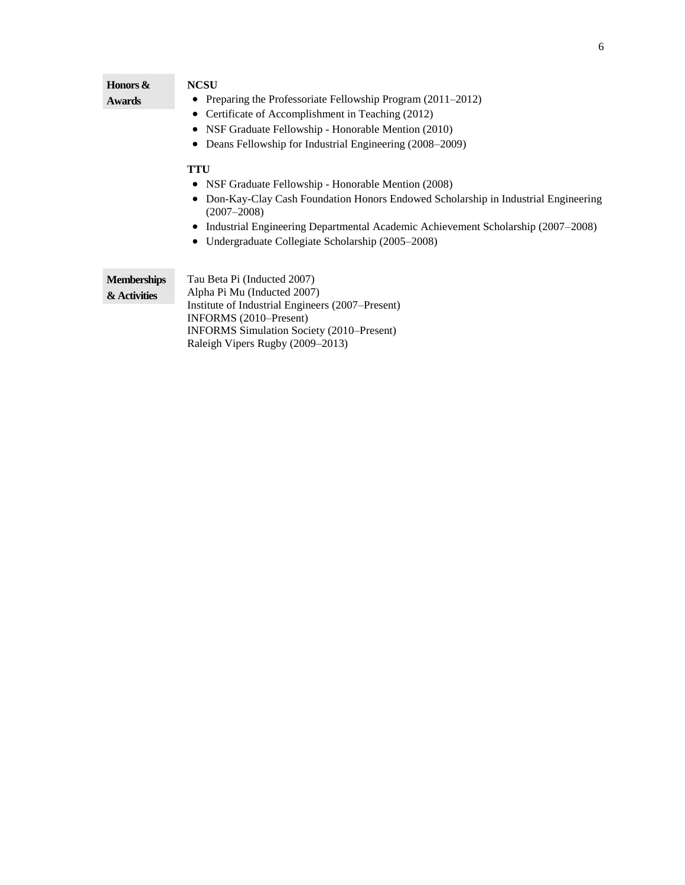| Honors &           | <b>NCSU</b>                                                                                                   |  |
|--------------------|---------------------------------------------------------------------------------------------------------------|--|
| <b>Awards</b>      | Preparing the Professoriate Fellowship Program (2011–2012)<br>٠                                               |  |
|                    | Certificate of Accomplishment in Teaching (2012)<br>٠                                                         |  |
|                    | NSF Graduate Fellowship - Honorable Mention (2010)<br>Deans Fellowship for Industrial Engineering (2008–2009) |  |
|                    |                                                                                                               |  |
|                    | <b>TTU</b>                                                                                                    |  |
|                    | NSF Graduate Fellowship - Honorable Mention (2008)                                                            |  |
|                    | Don-Kay-Clay Cash Foundation Honors Endowed Scholarship in Industrial Engineering<br>$(2007 - 2008)$          |  |
|                    | Industrial Engineering Departmental Academic Achievement Scholarship (2007–2008)                              |  |
|                    | Undergraduate Collegiate Scholarship (2005–2008)                                                              |  |
|                    |                                                                                                               |  |
| <b>Memberships</b> | Tau Beta Pi (Inducted 2007)                                                                                   |  |
| & Activities       | Alpha Pi Mu (Inducted 2007)                                                                                   |  |
|                    | Institute of Industrial Engineers (2007–Present)                                                              |  |
|                    | INFORMS (2010–Present)                                                                                        |  |
|                    | <b>INFORMS</b> Simulation Society (2010–Present)<br>Raleigh Vipers Rugby (2009–2013)                          |  |
|                    |                                                                                                               |  |